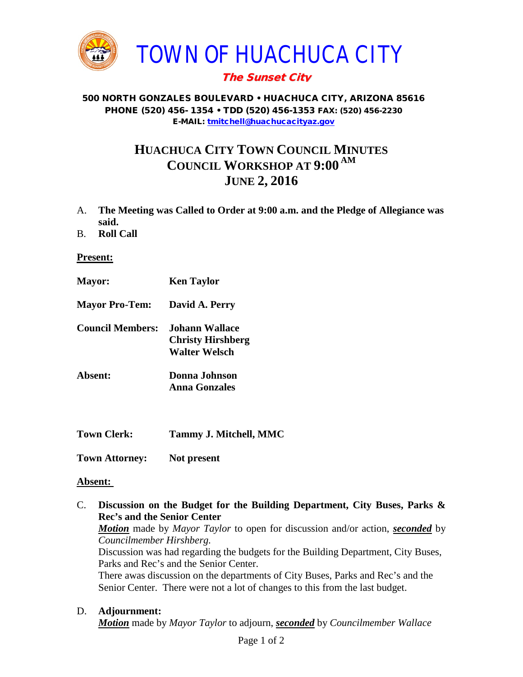

# The Sunset City

#### 500 NORTH GONZALES BOULEVARD • HUACHUCA CITY, ARIZONA 85616 PHONE (520) 456- 1354 • TDD (520) 456-1353 FAX: (520) 456-2230 E-MAIL: [tmitchell@huachucacityaz.gov](mailto:tmitchell@huachucacityaz.gov)

# **HUACHUCA CITY TOWN COUNCIL MINUTES COUNCIL WORKSHOP AT 9:00 AM JUNE 2, 2016**

- A. **The Meeting was Called to Order at 9:00 a.m. and the Pledge of Allegiance was said.**
- B. **Roll Call**

**Present:**

- **Mayor: Ken Taylor Mayor Pro-Tem: David A. Perry Council Members: Johann Wallace Christy Hirshberg Walter Welsch Absent: Donna Johnson Anna Gonzales**
- **Town Clerk: Tammy J. Mitchell, MMC**

**Town Attorney: Not present**

#### **Absent:**

C. **Discussion on the Budget for the Building Department, City Buses, Parks & Rec's and the Senior Center** *Motion* made by *Mayor Taylor* to open for discussion and/or action, *seconded* by *Councilmember Hirshberg.* Discussion was had regarding the budgets for the Building Department, City Buses, Parks and Rec's and the Senior Center. There awas discussion on the departments of City Buses, Parks and Rec's and the Senior Center. There were not a lot of changes to this from the last budget. D. **Adjournment:**

*Motion* made by *Mayor Taylor* to adjourn, *seconded* by *Councilmember Wallace*